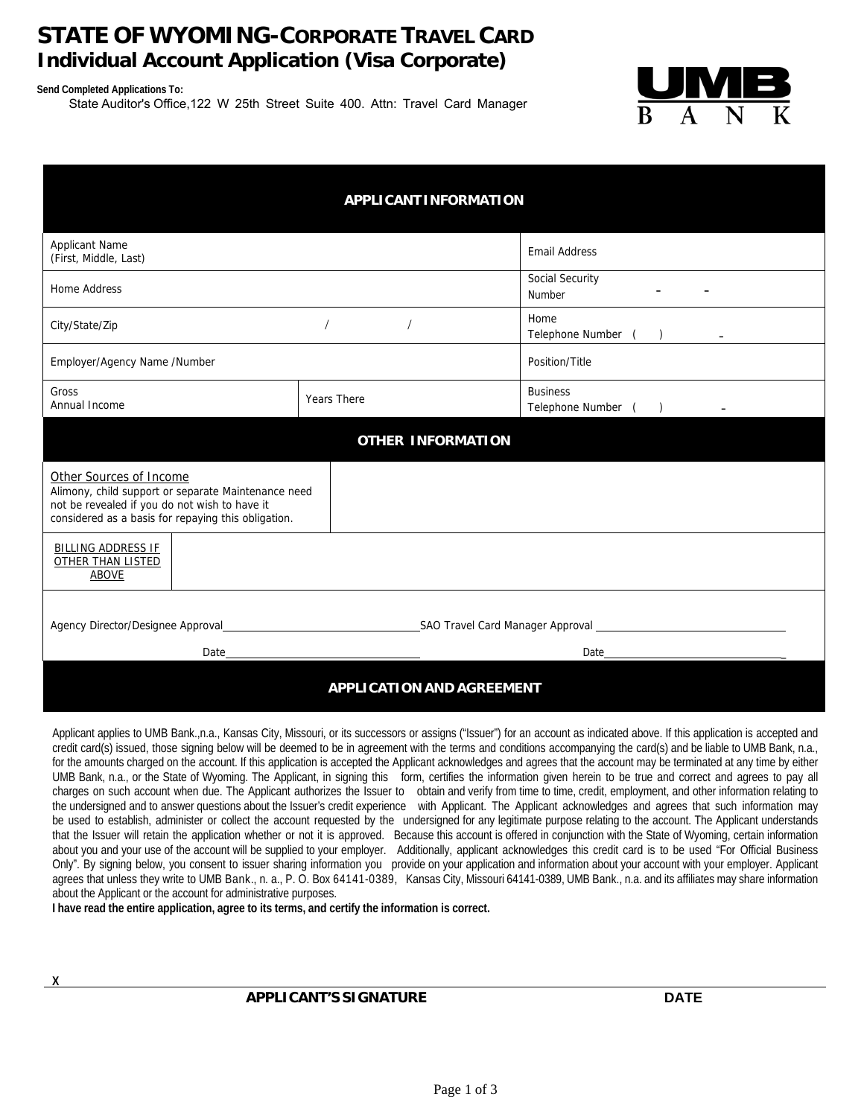### **STATE OF WYOMING-CORPORATE TRAVEL CARD Individual Account Application (Visa Corporate)**

**Send Completed Applications To:**

State Auditor's Office,122 W 25th Street Suite 400. Attn: Travel Card Manager



| <b>APPLICANT INFORMATION</b>                                                                                                                                                                                                                         |                          |                                        |
|------------------------------------------------------------------------------------------------------------------------------------------------------------------------------------------------------------------------------------------------------|--------------------------|----------------------------------------|
| <b>Applicant Name</b><br>(First, Middle, Last)                                                                                                                                                                                                       |                          | <b>Email Address</b>                   |
| Home Address                                                                                                                                                                                                                                         |                          | Social Security<br>Number              |
| City/State/Zip                                                                                                                                                                                                                                       |                          | Home<br>Telephone Number ()            |
| Employer/Agency Name /Number                                                                                                                                                                                                                         |                          | Position/Title                         |
| Gross<br>Annual Income                                                                                                                                                                                                                               | <b>Years There</b>       | <b>Business</b><br>Telephone Number () |
|                                                                                                                                                                                                                                                      | <b>OTHER INFORMATION</b> |                                        |
| Other Sources of Income<br>Alimony, child support or separate Maintenance need<br>not be revealed if you do not wish to have it<br>considered as a basis for repaying this obligation.                                                               |                          |                                        |
| <b>BILLING ADDRESS IF</b><br><b>OTHER THAN LISTED</b><br><b>ABOVE</b>                                                                                                                                                                                |                          |                                        |
| Agency Director/Designee Approval <b>Contract Contract Contract Contract Contract Contract Contract Contract Contract Contract Contract Contract Contract Contract Contract Contract Contract Contract Contract Contract Contrac</b><br>Date<br>Date |                          |                                        |
| <b>APPLICATION AND AGREEMENT</b>                                                                                                                                                                                                                     |                          |                                        |

Applicant applies to UMB Bank.,n.a., Kansas City, Missouri, or its successors or assigns ("Issuer") for an account as indicated above. If this application is accepted and credit card(s) issued, those signing below will be deemed to be in agreement with the terms and conditions accompanying the card(s) and be liable to UMB Bank, n.a., for the amounts charged on the account. If this application is accepted the Applicant acknowledges and agrees that the account may be terminated at any time by either UMB Bank, n.a., or the State of Wyoming. The Applicant, in signing this form, certifies the information given herein to be true and correct and agrees to pay all charges on such account when due. The Applicant authorizes the Issuer to obtain and verify from time to time, credit, employment, and other information relating to the undersigned and to answer questions about the Issuer's credit experience with Applicant. The Applicant acknowledges and agrees that such information may be used to establish, administer or collect the account requested by the undersigned for any legitimate purpose relating to the account. The Applicant understands that the Issuer will retain the application whether or not it is approved. Because this account is offered in conjunction with the State of Wyoming, certain information about you and your use of the account will be supplied to your employer. Additionally, applicant acknowledges this credit card is to be used "For Official Business Only". By signing below, you consent to issuer sharing information you provide on your application and information about your account with your employer. Applicant agrees that unless they write to UMB Bank., n. a., P. O. Box 64141-0389, Kansas City, Missouri 64141-0389, UMB Bank., n.a. and its affiliates may share information about the Applicant or the account for administrative purposes.

**I have read the entire application, agree to its terms, and certify the information is correct.**

 **X** 

#### **APPLICANT'S SIGNATURE DATE**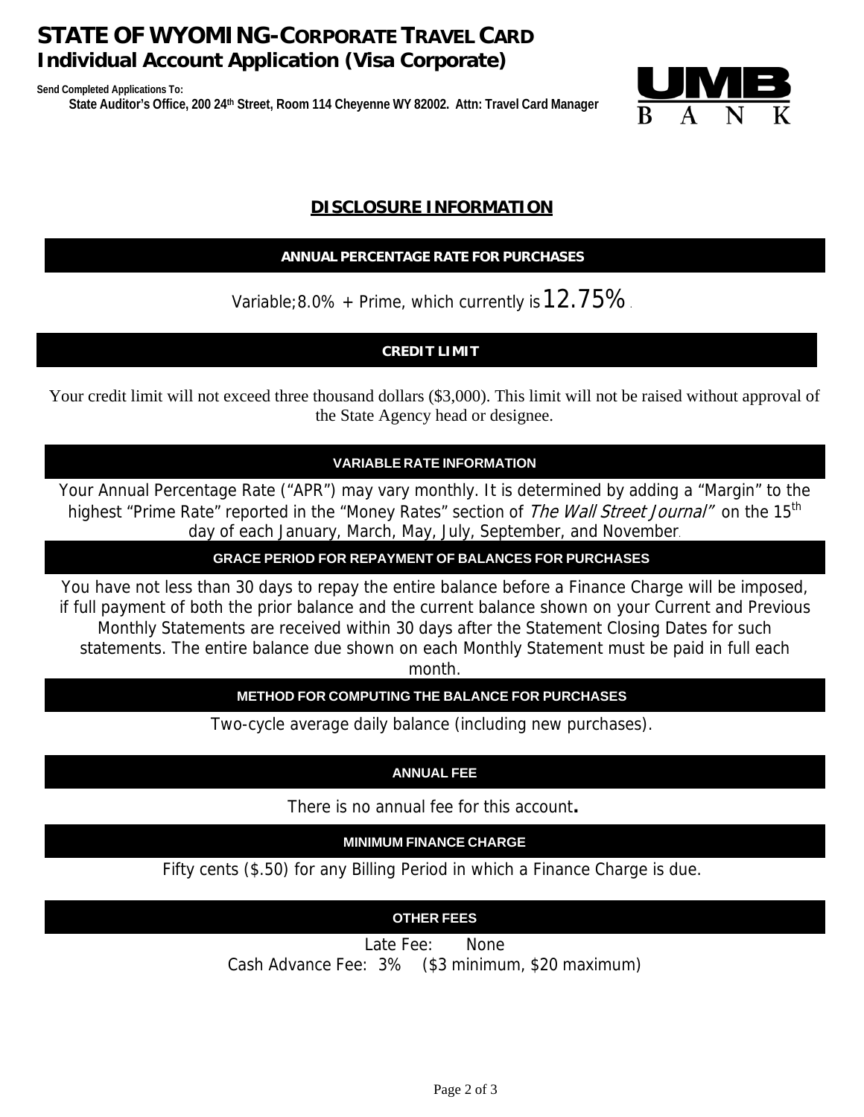# **STATE OF WYOMING-CORPORATE TRAVEL CARD Individual Account Application (Visa Corporate)**

**Send Completed Applications To: State Auditor's Office, 200 24th Street, Room 114 Cheyenne WY 82002. Attn: Travel Card Manager**



### **DISCLOSURE INFORMATION**

#### **ANNUAL PERCENTAGE RATE FOR PURCHASES**

Variable; 8.0% + Prime, which currently is  $12.75\%$ .

### **CREDIT LIMIT**

Your credit limit will not exceed three thousand dollars (\$3,000). This limit will not be raised without approval of the State Agency head or designee.

#### **VARIABLE RATE INFORMATION**

Your Annual Percentage Rate ("APR") may vary monthly. It is determined by adding a "Margin" to the highest "Prime Rate" reported in the "Money Rates" section of The Wall Street Journal" on the 15<sup>th</sup> day of each January, March, May, July, September, and November.

**GRACE PERIOD FOR REPAYMENT OF BALANCES FOR PURCHASES**

You have not less than 30 days to repay the entire balance before a Finance Charge will be imposed, if full payment of both the prior balance and the current balance shown on your Current and Previous Monthly Statements are received within 30 days after the Statement Closing Dates for such statements. The entire balance due shown on each Monthly Statement must be paid in full each

month.

### **METHOD FOR COMPUTING THE BALANCE FOR PURCHASES**

Two-cycle average daily balance (including new purchases).

### **ANNUAL FEE**

There is no annual fee for this account**.**

**MINIMUM FINANCE CHARGE**

Fifty cents (\$.50) for any Billing Period in which a Finance Charge is due.

### **OTHER FEES**

Late Fee: None

Cash Advance Fee: 3% (\$3 minimum, \$20 maximum)